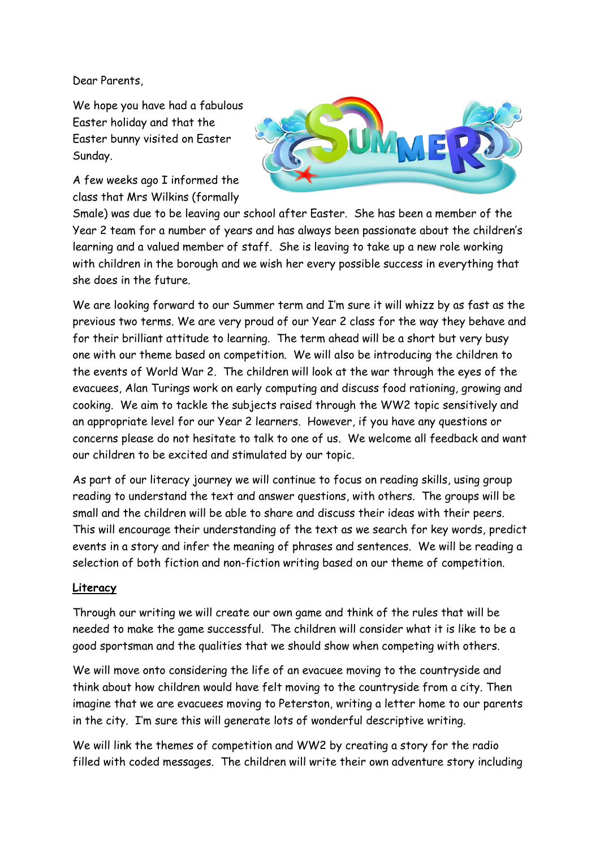Dear Parents,

We hope you have had a fabulous Easter holiday and that the Easter bunny visited on Easter Sunday.

A few weeks ago I informed the class that Mrs Wilkins (formally



Smale) was due to be leaving our school after Easter. She has been a member of the Year 2 team for a number of years and has always been passionate about the children's learning and a valued member of staff. She is leaving to take up a new role working with children in the borough and we wish her every possible success in everything that she does in the future.

We are looking forward to our Summer term and I'm sure it will whizz by as fast as the previous two terms. We are very proud of our Year 2 class for the way they behave and for their brilliant attitude to learning. The term ahead will be a short but very busy one with our theme based on competition. We will also be introducing the children to the events of World War 2. The children will look at the war through the eyes of the evacuees, Alan Turings work on early computing and discuss food rationing, growing and cooking. We aim to tackle the subjects raised through the WW2 topic sensitively and an appropriate level for our Year 2 learners. However, if you have any questions or concerns please do not hesitate to talk to one of us. We welcome all feedback and want our children to be excited and stimulated by our topic.

As part of our literacy journey we will continue to focus on reading skills, using group reading to understand the text and answer questions, with others. The groups will be small and the children will be able to share and discuss their ideas with their peers. This will encourage their understanding of the text as we search for key words, predict events in a story and infer the meaning of phrases and sentences. We will be reading a selection of both fiction and non-fiction writing based on our theme of competition.

## **Literacy**

Through our writing we will create our own game and think of the rules that will be needed to make the game successful. The children will consider what it is like to be a good sportsman and the qualities that we should show when competing with others.

We will move onto considering the life of an evacuee moving to the countryside and think about how children would have felt moving to the countryside from a city. Then imagine that we are evacuees moving to Peterston, writing a letter home to our parents in the city. I'm sure this will generate lots of wonderful descriptive writing.

We will link the themes of competition and WW2 by creating a story for the radio filled with coded messages. The children will write their own adventure story including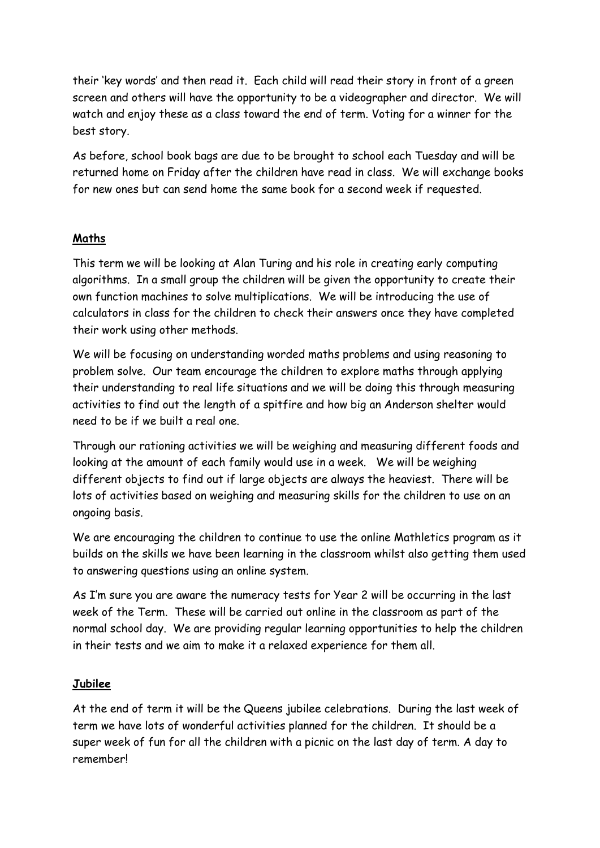their 'key words' and then read it. Each child will read their story in front of a green screen and others will have the opportunity to be a videographer and director. We will watch and enjoy these as a class toward the end of term. Voting for a winner for the best story.

As before, school book bags are due to be brought to school each Tuesday and will be returned home on Friday after the children have read in class. We will exchange books for new ones but can send home the same book for a second week if requested.

## **Maths**

This term we will be looking at Alan Turing and his role in creating early computing algorithms. In a small group the children will be given the opportunity to create their own function machines to solve multiplications. We will be introducing the use of calculators in class for the children to check their answers once they have completed their work using other methods.

We will be focusing on understanding worded maths problems and using reasoning to problem solve. Our team encourage the children to explore maths through applying their understanding to real life situations and we will be doing this through measuring activities to find out the length of a spitfire and how big an Anderson shelter would need to be if we built a real one.

Through our rationing activities we will be weighing and measuring different foods and looking at the amount of each family would use in a week. We will be weighing different objects to find out if large objects are always the heaviest. There will be lots of activities based on weighing and measuring skills for the children to use on an ongoing basis.

We are encouraging the children to continue to use the online Mathletics program as it builds on the skills we have been learning in the classroom whilst also getting them used to answering questions using an online system.

As I'm sure you are aware the numeracy tests for Year 2 will be occurring in the last week of the Term. These will be carried out online in the classroom as part of the normal school day. We are providing regular learning opportunities to help the children in their tests and we aim to make it a relaxed experience for them all.

## **Jubilee**

At the end of term it will be the Queens jubilee celebrations. During the last week of term we have lots of wonderful activities planned for the children. It should be a super week of fun for all the children with a picnic on the last day of term. A day to remember!